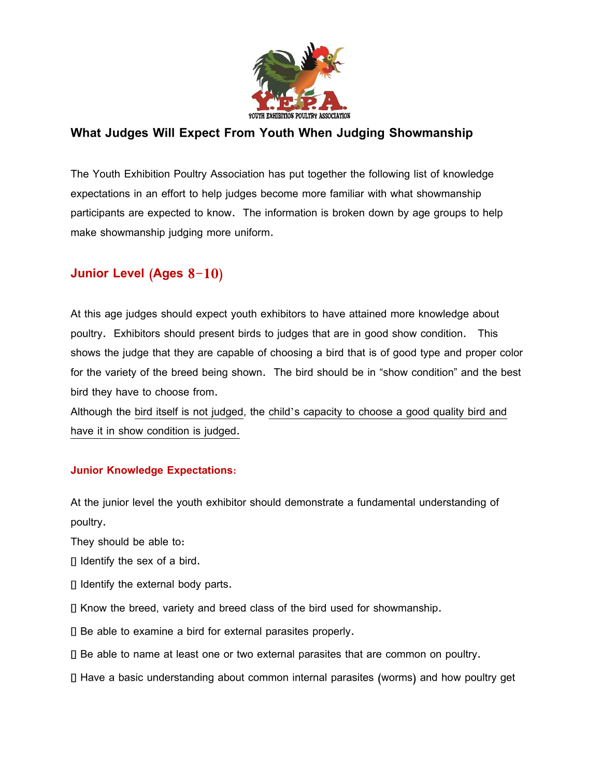

## **What Judges Will Expect From Youth When Judging Showmanship**

The Youth Exhibition Poultry Association has put together the following list of knowledge expectations in an effort to help judges become more familiar with what showmanship participants are expected to know. The information is broken down by age groups to help make showmanship judging more uniform.

## **Junior Level (Ages 8-10)**

At this age judges should expect youth exhibitors to have attained more knowledge about poultry. Exhibitors should present birds to judges that are in good show condition. This shows the judge that they are capable of choosing a bird that is of good type and proper color for the variety of the breed being shown. The bird should be in "show condition" and the best bird they have to choose from.

Although the bird itself is not judged, the child's capacity to choose a good quality bird and have it in show condition is judged.

## **Junior Knowledge Expectations:**

At the junior level the youth exhibitor should demonstrate a fundamental understanding of poultry.

They should be able to:

Identify the sex of a bird.

- $\Box$  Identify the external body parts.
- $\Box$  Know the breed, variety and breed class of the bird used for showmanship.
- Be able to examine a bird for external parasites properly.
- Be able to name at least one or two external parasites that are common on poultry.
- Have a basic understanding about common internal parasites (worms) and how poultry get